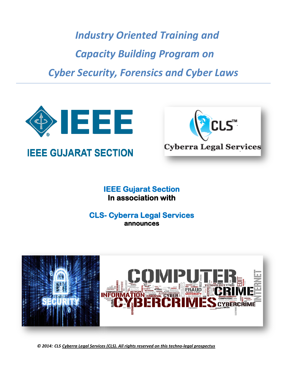*Industry Oriented Training and Capacity Building Program on Cyber Security, Forensics and Cyber Laws*





**IEEE Gujarat Section In association with** 

# **CLS- Cyberra Legal Services announces**



 *© 2014: CLS Cyberra Legal Services (CLS). All rights reserved on this techno-legal prospectus*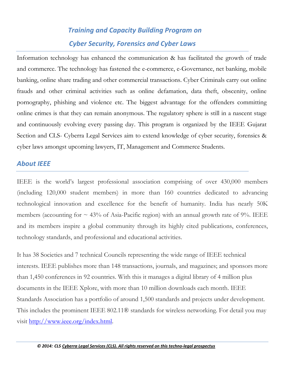# *Training and Capacity Building Program on Cyber Security, Forensics and Cyber Laws*

Information technology has enhanced the communication & has facilitated the growth of trade and commerce. The technology has fastened the e-commerce, e-Governance, net banking, mobile banking, online share trading and other commercial transactions. Cyber Criminals carry out online frauds and other criminal activities such as online defamation, data theft, obscenity, online pornography, phishing and violence etc. The biggest advantage for the offenders committing online crimes is that they can remain anonymous. The regulatory sphere is still in a nascent stage and continuously evolving every passing day. This program is organized by the IEEE Gujarat Section and CLS- Cyberra Legal Services aim to extend knowledge of cyber security, forensics & cyber laws amongst upcoming lawyers, IT, Management and Commerce Students.

#### *About IEEE*

IEEE is the world's largest professional association comprising of over 430,000 members (including 120,000 student members) in more than 160 countries dedicated to advancing technological innovation and excellence for the benefit of humanity. India has nearly 50K members (accounting for  $\sim$  43% of Asia-Pacific region) with an annual growth rate of 9%. IEEE and its members inspire a global community through its highly cited publications, conferences, technology standards, and professional and educational activities.

It has 38 Societies and 7 technical Councils representing the wide range of IEEE technical interests. IEEE publishes more than 148 transactions, journals, and magazines; and sponsors more than 1,450 conferences in 92 countries. With this it manages a digital library of 4 million plus documents in the IEEE Xplore, with more than 10 million downloads each month. IEEE Standards Association has a portfolio of around 1,500 standards and projects under development. This includes the prominent IEEE 802.11® standards for wireless networking. For detail you may visit [http://www.ieee.org/index.html.](http://www.ieee.org/index.html)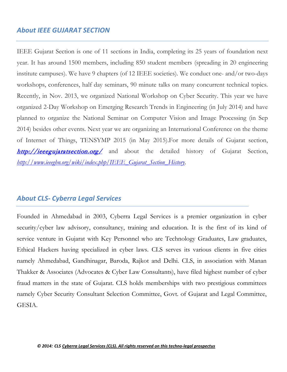#### *About IEEE GUJARAT SECTION*

IEEE Gujarat Section is one of 11 sections in India, completing its 25 years of foundation next year. It has around 1500 members, including 850 student members (spreading in 20 engineering institute campuses). We have 9 chapters (of 12 IEEE societies). We conduct one- and/or two-days workshops, conferences, half day seminars, 90 minute talks on many concurrent technical topics. Recently, in Nov. 2013, we organized National Workshop on Cyber Security. This year we have organized 2-Day Workshop on Emerging Research Trends in Engineering (in July 2014) and have planned to organize the National Seminar on Computer Vision and Image Processing (in Sep 2014) besides other events. Next year we are organizing an International Conference on the theme of Internet of Things, TENSYMP 2015 (in May 2015).For more details of Gujarat section, <http://ieeegujaratsection.org/> and about the detailed history of Gujarat Section, *[http://www.ieeeghn.org/wiki/index.php/IEEE\\_Gujarat\\_Section\\_History](http://www.ieeeghn.org/wiki/index.php/IEEE_Gujarat_Section_History)*.

#### *About CLS- Cyberra Legal Services*

Founded in Ahmedabad in 2003, Cyberra Legal Services is a premier organization in cyber security/cyber law advisory, consultancy, training and education. It is the first of its kind of service venture in Gujarat with Key Personnel who are Technology Graduates, Law graduates, Ethical Hackers having specialized in cyber laws. CLS serves its various clients in five cities namely Ahmedabad, Gandhinagar, Baroda, Rajkot and Delhi. CLS, in association with Manan Thakker & Associates (Advocates & Cyber Law Consultants), have filed highest number of cyber fraud matters in the state of Gujarat. CLS holds memberships with two prestigious committees namely Cyber Security Consultant Selection Committee, Govt. of Gujarat and Legal Committee, GESIA.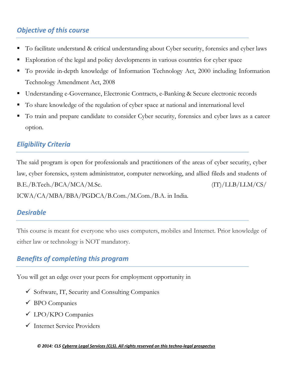# *Objective of this course*

- To facilitate understand & critical understanding about Cyber security, forensics and cyber laws
- Exploration of the legal and policy developments in various countries for cyber space
- To provide in-depth knowledge of Information Technology Act, 2000 including Information Technology Amendment Act, 2008
- Understanding e-Governance, Electronic Contracts, e-Banking & Secure electronic records
- To share knowledge of the regulation of cyber space at national and international level
- To train and prepare candidate to consider Cyber security, forensics and cyber laws as a career option.

## *Eligibility Criteria*

The said program is open for professionals and practitioners of the areas of cyber security, cyber law, cyber forensics, system administrator, computer networking, and allied fileds and students of B.E./B.Tech./BCA/MCA/M.Sc. (IT)/LLB/LLM/CS/ ICWA/CA/MBA/BBA/PGDCA/B.Com./M.Com./B.A. in India.

#### *Desirable*

This course is meant for everyone who uses computers, mobiles and Internet. Prior knowledge of either law or technology is NOT mandatory.

## *Benefits of completing this program*

You will get an edge over your peers for employment opportunity in

- $\checkmark$  Software, IT, Security and Consulting Companies
- $\checkmark$  BPO Companies
- LPO/KPO Companies
- Internet Service Providers

 *© 2014: CLS Cyberra Legal Services (CLS). All rights reserved on this techno-legal prospectus*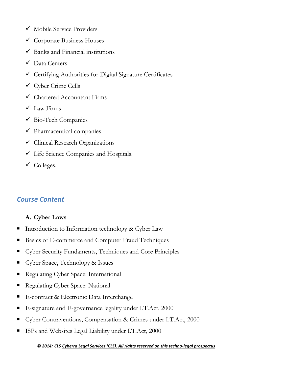- $\checkmark$  Mobile Service Providers
- $\checkmark$  Corporate Business Houses
- $\checkmark$  Banks and Financial institutions
- Data Centers
- $\checkmark$  Certifying Authorities for Digital Signature Certificates
- Cyber Crime Cells
- Chartered Accountant Firms
- $\checkmark$  Law Firms
- $\checkmark$  Bio-Tech Companies
- $\checkmark$  Pharmaceutical companies
- $\checkmark$  Clinical Research Organizations
- Life Science Companies and Hospitals.
- $\checkmark$  Colleges.

# *Course Content*

#### **A. Cyber Laws**

- Introduction to Information technology  $&$  Cyber Law
- Basics of E-commerce and Computer Fraud Techniques
- Cyber Security Fundaments, Techniques and Core Principles
- Cyber Space, Technology & Issues
- Regulating Cyber Space: International
- Regulating Cyber Space: National
- E-contract & Electronic Data Interchange
- E-signature and E-governance legality under I.T.Act, 2000
- Cyber Contraventions, Compensation & Crimes under I.T.Act, 2000
- ISPs and Websites Legal Liability under I.T.Act, 2000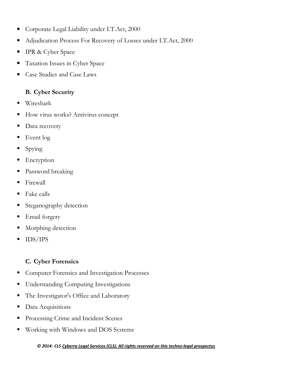- Corporate Legal Liability under I.T.Act, 2000
- Adjudication Process For Recovery of Losses under I.T.Act, 2000
- **IPR & Cyber Space**
- **Taxation Issues in Cyber Space**
- Case Studies and Case Laws

#### **B. Cyber Security**

- Wireshark
- How virus works? Antivirus concept
- Data recovery
- Event log
- $\blacksquare$  Spying
- **Encryption**
- Password breaking
- $\blacksquare$  Firewall
- $\blacksquare$  Fake calls
- **Steganography detection**
- **Email forgery**
- Morphing detection
- **IDS/IPS**

## **C. Cyber Forensics**

- Computer Forensics and Investigation Processes
- **Understanding Computing Investigations**
- The Investigator's Office and Laboratory
- Data Acquisitions
- **Processing Crime and Incident Scenes**
- Working with Windows and DOS Systems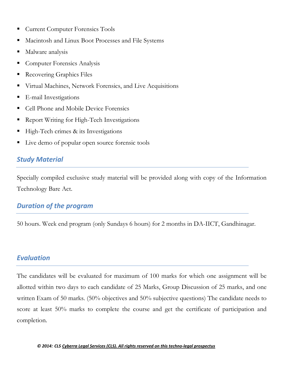- **Current Computer Forensics Tools**
- Macintosh and Linux Boot Processes and File Systems
- Malware analysis
- Computer Forensics Analysis
- Recovering Graphics Files
- Virtual Machines, Network Forensics, and Live Acquisitions
- **E**-mail Investigations
- Cell Phone and Mobile Device Forensics
- Report Writing for High-Tech Investigations
- $\blacksquare$  High-Tech crimes & its Investigations
- Live demo of popular open source forensic tools

#### *Study Material*

Specially compiled exclusive study material will be provided along with copy of the Information Technology Bare Act.

## *Duration of the program*

50 hours. Week end program (only Sundays 6 hours) for 2 months in DA-IICT, Gandhinagar.

#### *Evaluation*

The candidates will be evaluated for maximum of 100 marks for which one assignment will be allotted within two days to each candidate of 25 Marks, Group Discussion of 25 marks, and one written Exam of 50 marks. (50% objectives and 50% subjective questions) The candidate needs to score at least 50% marks to complete the course and get the certificate of participation and completion.

 *© 2014: CLS Cyberra Legal Services (CLS). All rights reserved on this techno-legal prospectus*